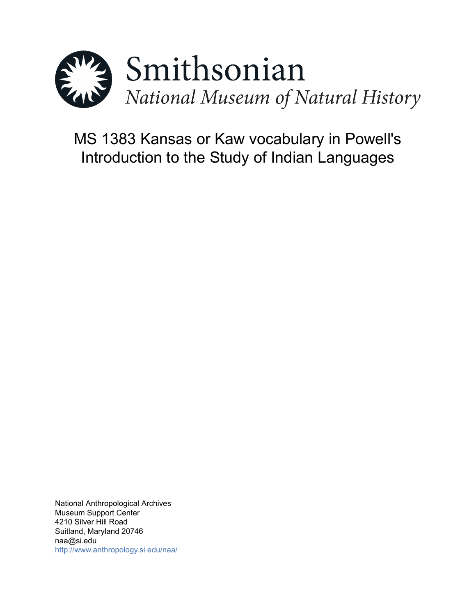

# MS 1383 Kansas or Kaw vocabulary in Powell's Introduction to the Study of Indian Languages

National Anthropological Archives Museum Support Center 4210 Silver Hill Road Suitland, Maryland 20746 naa@si.edu <http://www.anthropology.si.edu/naa/>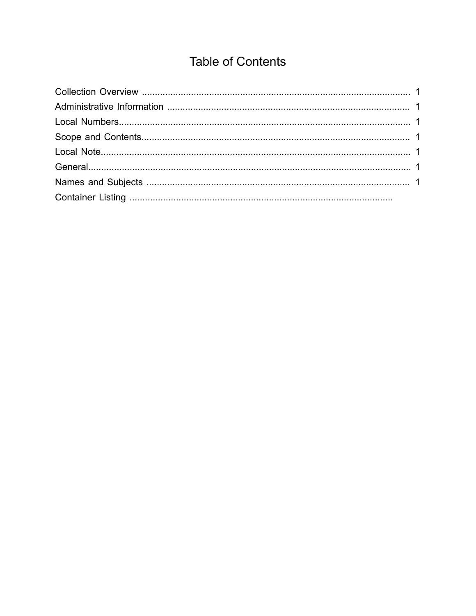## **Table of Contents**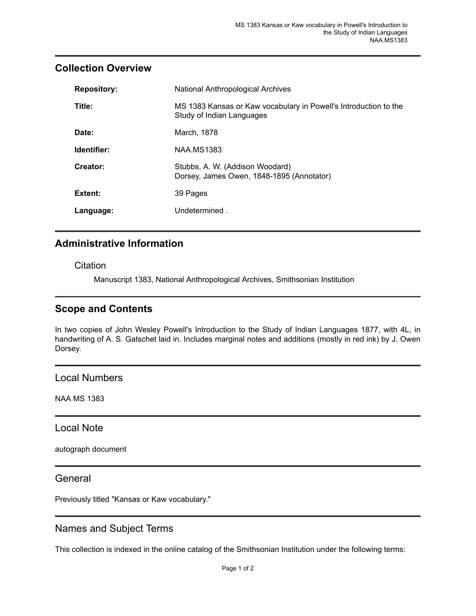#### <span id="page-2-0"></span>**Collection Overview**

| <b>Repository:</b> | National Anthropological Archives                                                             |
|--------------------|-----------------------------------------------------------------------------------------------|
| Title:             | MS 1383 Kansas or Kaw vocabulary in Powell's Introduction to the<br>Study of Indian Languages |
| Date:              | March, 1878                                                                                   |
| Identifier:        | <b>NAA.MS1383</b>                                                                             |
| Creator:           | Stubbs, A. W. (Addison Woodard)<br>Dorsey, James Owen, 1848-1895 (Annotator)                  |
| Extent:            | 39 Pages                                                                                      |
| Language:          | Undetermined.                                                                                 |

### <span id="page-2-1"></span>**Administrative Information**

**Citation** 

Manuscript 1383, National Anthropological Archives, Smithsonian Institution

#### <span id="page-2-3"></span>**Scope and Contents**

In two copies of John Wesley Powell's Introduction to the Study of Indian Languages 1877, with 4L, in handwriting of A. S. Gatschet laid in. Includes marginal notes and additions (mostly in red ink) by J. Owen Dorsey.

<span id="page-2-2"></span>Local Numbers

NAA MS 1383

<span id="page-2-4"></span>Local Note

autograph document

<span id="page-2-5"></span>General

Previously titled "Kansas or Kaw vocabulary."

#### <span id="page-2-6"></span>Names and Subject Terms

This collection is indexed in the online catalog of the Smithsonian Institution under the following terms: